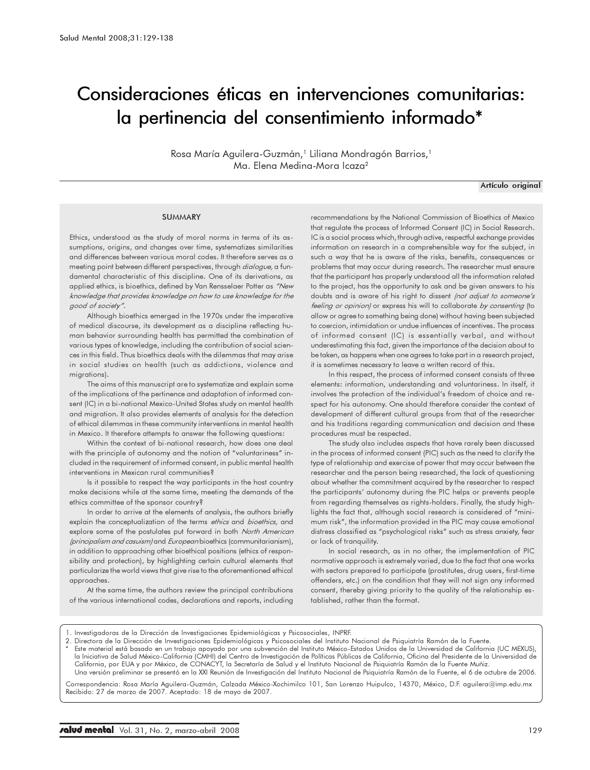# Consideraciones éticas en intervenciones comunitarias: la pertinencia del consentimiento informado\*

Rosa María Aguilera-Guzmán,<sup>1</sup> Liliana Mondragón Barrios,<sup>1</sup> Ma. Elena Medina-Mora Icaza<sup>2</sup>

Artículo original

#### SUMMARY

Ethics, understood as the study of moral norms in terms of its assumptions, origins, and changes over time, systematizes similarities and differences between various moral codes. It therefore serves as a meeting point between different perspectives, through *dialogue,* a fundamental characteristic of this discipline. One of its derivations, as applied ethics, is bioethics, defined by Van Rensselaer Potter as "New knowledge that provides knowledge on how to use knowledge for the good of society".

Although bioethics emerged in the 1970s under the imperative of medical discourse, its development as a discipline reflecting human behavior surrounding health has permitted the combination of various types of knowledge, including the contribution of social sciences in this field. Thus bioethics deals with the dilemmas that may arise in social studies on health (such as addictions, violence and migrations).

The aims of this manuscript are to systematize and explain some of the implications of the pertinence and adaptation of informed consent (IC) in a bi-national Mexico-United States study on mental health and migration. It also provides elements of analysis for the detection of ethical dilemmas in these community interventions in mental health in Mexico. It therefore attempts to answer the following questions:

Within the context of bi-national research, how does one deal with the principle of autonomy and the notion of "voluntariness" included in the requirement of informed consent, in public mental health interventions in Mexican rural communities?

Is it possible to respect the way participants in the host country make decisions while at the same time, meeting the demands of the ethics committee of the sponsor country?

In order to arrive at the elements of analysis, the authors briefly explain the conceptualization of the terms ethics and bioethics, and explore some of the postulates put forward in both North American (principalism and casuism) and European bioethics (communitarianism), in addition to approaching other bioethical positions (ethics of responsibility and protection), by highlighting certain cultural elements that particularize the world views that give rise to the aforementioned ethical approaches.

At the same time, the authors review the principal contributions of the various international codes, declarations and reports, including recommendations by the National Commission of Bioethics of Mexico that regulate the process of Informed Consent (IC) in Social Research. IC is a social process which, through active, respectful exchange provides information on research in a comprehensible way for the subject, in such a way that he is aware of the risks, benefits, consequences or problems that may occur during research. The researcher must ensure that the participant has properly understood all the information related to the project, has the opportunity to ask and be given answers to his doubts and is aware of his right to dissent (not adjust to someone's feeling or opinion) or express his will to collaborate by consenting (to allow or agree to something being done) without having been subjected to coercion, intimidation or undue influences of incentives. The process of informed consent (IC) is essentially verbal, and without underestimating this fact, given the importance of the decision about to be taken, as happens when one agrees to take part in a research project, it is sometimes necessary to leave a written record of this.

In this respect, the process of informed consent consists of three elements: information, understanding and voluntariness. In itself, it involves the protection of the individual's freedom of choice and respect for his autonomy. One should therefore consider the context of development of different cultural groups from that of the researcher and his traditions regarding communication and decision and these procedures must be respected.

The study also includes aspects that have rarely been discussed in the process of informed consent (PIC) such as the need to clarify the type of relationship and exercise of power that may occur between the researcher and the person being researched, the lack of questioning about whether the commitment acquired by the researcher to respect the participants' autonomy during the PIC helps or prevents people from regarding themselves as rights-holders. Finally, the study highlights the fact that, although social research is considered of "minimum risk", the information provided in the PIC may cause emotional distress classified as "psychological risks" such as stress anxiety, fear or lack of tranquility.

In social research, as in no other, the implementation of PIC normative approach is extremely varied, due to the fact that one works with sectors prepared to participate (prostitutes, drug users, first-time offenders, etc.) on the condition that they will not sign any informed consent, thereby giving priority to the quality of the relationship established, rather than the format.

1. Investigadoras de la Dirección de Investigaciones Epidemiológicas y Psicosociales, INPRF.

2. Directora de la Dirección de Investigaciones Epidemiológicas y Psicosociales del Instituto Nacional de Psiquiatría Ramón de la Fuente. \* Este material está basado en un trabajo apoyado por una subvención del Instituto México-Estados Unidos de la Universidad de California (UC MEXUS), la Iniciativa de Salud México-California (CMHI) del Centro de Investigación de Políticas Públicas de California, Oficina del Presidente de la Universidad de California, por EUA y por México, de CONACYT, la Secretaría de Salud y el Instituto Nacional de Psiquiatría Ramón de la Fuente Muñiz. Una versión preliminar se presentó en la XXI Reunión de Investigación del Instituto Nacional de Psiquiatría Ramón de la Fuente, el 6 de octubre de 2006.

Correspondencia: Rosa María Aguilera-Guzmán, Calzada México-Xochimilco 101, San Lorenzo Huipulco, 14370, México, D.F. aguilera@imp.edu.mx Recibido: 27 de marzo de 2007. Aceptado: 18 de mayo de 2007.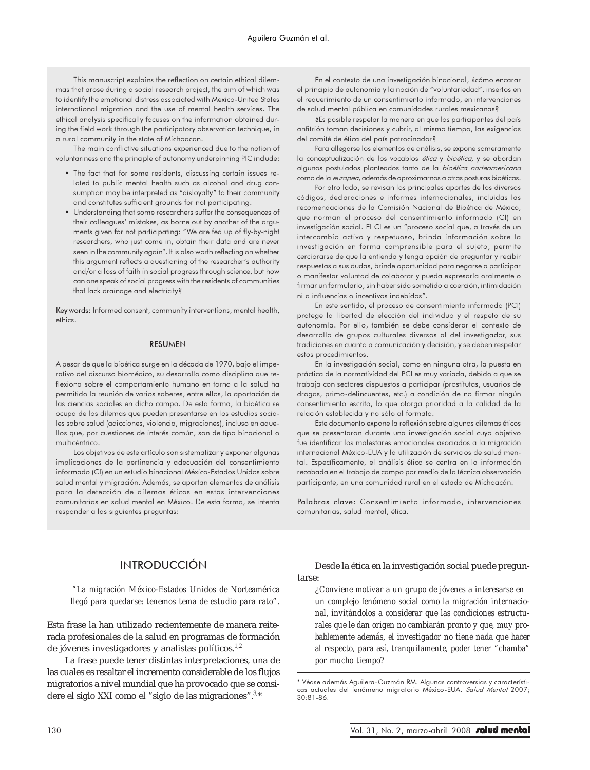This manuscript explains the reflection on certain ethical dilemmas that arose during a social research project, the aim of which was to identify the emotional distress associated with Mexico-United States international migration and the use of mental health services. The ethical analysis specifically focuses on the information obtained during the field work through the participatory observation technique, in a rural community in the state of Michoacan.

The main conflictive situations experienced due to the notion of voluntariness and the principle of autonomy underpinning PIC include:

- The fact that for some residents, discussing certain issues related to public mental health such as alcohol and drug consumption may be interpreted as "disloyalty" to their community and constitutes sufficient grounds for not participating.
- Understanding that some researchers suffer the consequences of their colleagues' mistakes, as borne out by another of the arguments given for not participating: "We are fed up of fly-by-night researchers, who just come in, obtain their data and are never seen in the community again". It is also worth reflecting on whether this argument reflects a questioning of the researcher's authority and/or a loss of faith in social progress through science, but how can one speak of social progress with the residents of communities that lack drainage and electricity?

Key words: Informed consent, community interventions, mental health, ethics.

#### **RESUMEN**

A pesar de que la bioética surge en la década de 1970, bajo el imperativo del discurso biomédico, su desarrollo como disciplina que reflexiona sobre el comportamiento humano en torno a la salud ha permitido la reunión de varios saberes, entre ellos, la aportación de las ciencias sociales en dicho campo. De esta forma, la bioética se ocupa de los dilemas que pueden presentarse en los estudios sociales sobre salud (adicciones, violencia, migraciones), incluso en aquellos que, por cuestiones de interés común, son de tipo binacional o multicéntrico.

Los objetivos de este artículo son sistematizar y exponer algunas implicaciones de la pertinencia y adecuación del consentimiento informado (CI) en un estudio binacional México-Estados Unidos sobre salud mental y migración. Además, se aportan elementos de análisis para la detección de dilemas éticos en estas intervenciones comunitarias en salud mental en México. De esta forma, se intenta responder a las siguientes preguntas:

En el contexto de una investigación binacional, ¿cómo encarar el principio de autonomía y la noción de "voluntariedad", insertos en el requerimiento de un consentimiento informado, en intervenciones de salud mental pública en comunidades rurales mexicanas?

¿Es posible respetar la manera en que los participantes del país anfitrión toman decisiones y cubrir, al mismo tiempo, las exigencias del comité de ética del país patrocinador?

Para allegarse los elementos de análisis, se expone someramente la conceptualización de los vocablos *ética* y bioética, y se abordan algunos postulados planteados tanto de la bioética norteamericana como de la europea, además de aproximarnos a otras posturas bioéticas.

Por otro lado, se revisan los principales aportes de los diversos códigos, declaraciones e informes internacionales, incluidas las recomendaciones de la Comisión Nacional de Bioética de México, que norman el proceso del consentimiento informado (CI) en investigación social. El CI es un "proceso social que, a través de un intercambio activo y respetuoso, brinda información sobre la investigación en forma comprensible para el sujeto, permite cerciorarse de que la entienda y tenga opción de preguntar y recibir respuestas a sus dudas, brinde oportunidad para negarse a participar o manifestar voluntad de colaborar y pueda expresarla oralmente o firmar un formulario, sin haber sido sometido a coerción, intimidación ni a influencias o incentivos indebidos".

En este sentido, el proceso de consentimiento informado (PCI) protege la libertad de elección del individuo y el respeto de su autonomía. Por ello, también se debe considerar el contexto de desarrollo de grupos culturales diversos al del investigador, sus tradiciones en cuanto a comunicación y decisión, y se deben respetar estos procedimientos.

En la investigación social, como en ninguna otra, la puesta en práctica de la normatividad del PCI es muy variada, debido a que se trabaja con sectores dispuestos a participar (prostitutas, usuarios de drogas, primo-delincuentes, etc.) a condición de no firmar ningún consentimiento escrito, lo que otorga prioridad a la calidad de la relación establecida y no sólo al formato.

Este documento expone la reflexión sobre algunos dilemas éticos que se presentaron durante una investigación social cuyo objetivo fue identificar los malestares emocionales asociados a la migración internacional México-EUA y la utilización de servicios de salud mental. Específicamente, el análisis ético se centra en la información recabada en el trabajo de campo por medio de la técnica observación participante, en una comunidad rural en el estado de Michoacán.

Palabras clave: Consentimiento informado, intervenciones comunitarias, salud mental, ética.

## INTRODUCCIÓN

*"La migración México-Estados Unidos de Norteamérica llegó para quedarse: tenemos tema de estudio para rato".*

Esta frase la han utilizado recientemente de manera reiterada profesionales de la salud en programas de formación de jóvenes investigadores y analistas políticos.<sup>1,2</sup>

La frase puede tener distintas interpretaciones, una de las cuales es resaltar el incremento considerable de los flujos migratorios a nivel mundial que ha provocado que se considere el siglo XXI como el "siglo de las migraciones".3,\*

Desde la ética en la investigación social puede preguntarse:

*¿Conviene motivar a un grupo de jóvenes a interesarse en un complejo fenómeno social como la migración internacional, invitándolos a considerar que las condiciones estructurales que le dan origen no cambiarán pronto y que, muy probablemente además, el investigador no tiene nada que hacer al respecto, para así, tranquilamente, poder tener "chamba" por mucho tiempo?*

<sup>\*</sup> Véase además Aguilera-Guzmán RM. Algunas controversias y características actuales del fenómeno migratorio México-EUA. Salud Mental 2007; 30:81-86.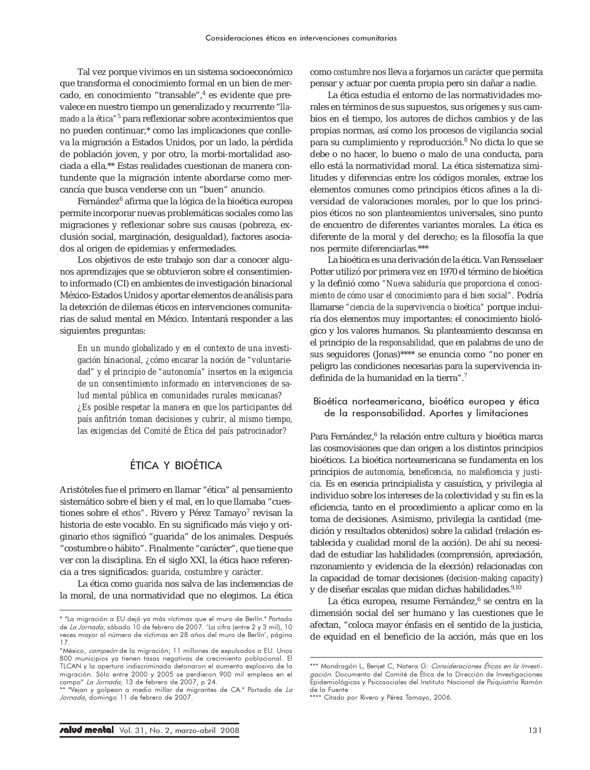Tal vez porque vivimos en un sistema socioeconómico que transforma el conocimiento formal en un bien de mercado, en conocimiento "transable",<sup>4</sup> es evidente que prevalece en nuestro tiempo un generalizado y recurrente "*llamado a la ética"*<sup>5</sup> para reflexionar sobre acontecimientos que no pueden continuar,\* como las implicaciones que conlleva la migración a Estados Unidos, por un lado, la pérdida de población joven, y por otro, la morbi-mortalidad asociada a ella.\*\* Estas realidades cuestionan de manera contundente que la migración intente abordarse como mercancía que busca venderse con un "buen" anuncio.

Fernández<sup>6</sup> afirma que la lógica de la bioética europea permite incorporar nuevas problemáticas sociales como las migraciones y reflexionar sobre sus causas (pobreza, exclusión social, marginación, desigualdad), factores asociados al origen de epidemias y enfermedades.

Los objetivos de este trabajo son dar a conocer algunos aprendizajes que se obtuvieron sobre el consentimiento informado (CI) en ambientes de investigación binacional México-Estados Unidos y aportar elementos de análisis para la detección de dilemas éticos en intervenciones comunitarias de salud mental en México. Intentará responder a las siguientes preguntas:

*En un mundo globalizado y en el contexto de una investigación binacional, ¿cómo encarar la noción de "voluntariedad" y el principio de "autonomía" insertos en la exigencia de un consentimiento informado en intervenciones de salud mental pública en comunidades rurales mexicanas? ¿Es posible respetar la manera en que los participantes del país anfitrión toman decisiones y cubrir, al mismo tiempo, las exigencias del Comité de Ética del país patrocinador?*

# ÉTICA Y BIOÉTICA

Aristóteles fue el primero en llamar "ética" al pensamiento sistemático sobre el bien y el mal, en lo que llamaba "cuestiones sobre el *ethos"*. Rivero y Pérez Tamayo<sup>7</sup> revisan la historia de este vocablo. En su significado más viejo y originario *ethos* significó "guarida" de los animales. Después "costumbre o hábito". Finalmente "carácter", que tiene que ver con la disciplina. En el siglo XXI, la ética hace referencia a tres significados: *guarida, costumbre y carácter.*

La ética como *guarida* nos salva de las inclemencias de la moral, de una normatividad que no elegimos. La ética como *costumbre* nos lleva a forjarnos un *carácter* que permita pensar y actuar por cuenta propia pero sin dañar a nadie.

La ética estudia el entorno de las normatividades morales en términos de sus supuestos, sus orígenes y sus cambios en el tiempo, los autores de dichos cambios y de las propias normas, así como los procesos de vigilancia social para su cumplimiento y reproducción.<sup>8</sup> No dicta lo que se debe o no hacer, lo bueno o malo de una conducta, para ello está la normatividad moral. La ética sistematiza similitudes y diferencias entre los códigos morales, extrae los elementos comunes como principios éticos afines a la diversidad de valoraciones morales, por lo que los principios éticos no son planteamientos universales, sino punto de encuentro de diferentes variantes morales. La ética es diferente de la moral y del derecho; es la filosofía la que nos permite diferenciarlas.\*\*\*

La bioética es una derivación de la ética. Van Rensselaer Potter utilizó por primera vez en 1970 el término de bioética y la definió como *"Nueva sabiduría que proporciona el conocimiento de cómo usar el conocimiento para el bien social".* Podría llamarse *"ciencia de la supervivencia o bioética"* porque incluiría dos elementos muy importantes: el conocimiento biológico y los valores humanos. Su planteamiento descansa en el principio de la *responsabilidad,* que en palabras de uno de sus seguidores (Jonas)\*\*\*\* se enuncia como "no poner en peligro las condiciones necesarias para la supervivencia indefinida de la humanidad en la tierra".7

Bioética norteamericana, bioética europea y ética de la responsabilidad. Aportes y limitaciones

Para Fernández,<sup>6</sup> la relación entre cultura y bioética marca las cosmovisiones que dan origen a los distintos principios bioéticos. La bioética norteamericana se fundamenta en los principios de *autonomía, beneficencia, no maleficencia y justicia.* Es en esencia principialista y casuística, y privilegia al individuo sobre los intereses de la colectividad y su fin es la eficiencia, tanto en el procedimiento a aplicar como en la toma de decisiones. Asimismo, privilegia la cantidad (medición y resultados obtenidos) sobre la calidad (relación establecida y cualidad moral de la acción). De ahí su necesidad de estudiar las habilidades (comprensión, apreciación, razonamiento y evidencia de la elección) relacionadas con la capacidad de tomar decisiones (*decision-making capacity*) y de diseñar escalas que midan dichas habilidades.<sup>9,10</sup>

La ética europea, resume Fernández,<sup>6</sup> se centra en la dimensión social del ser humano y las cuestiones que le afectan, "coloca mayor énfasis en el sentido de la justicia, de equidad en el beneficio de la acción, más que en los

<sup>\* &</sup>quot;La migración a EU dejó ya más víctimas que el muro de Berlín." Portada de La Jornada, sábado 10 de febrero de 2007. 'La cifra (entre 2 y 3 mil), 10 veces mayor al número de víctimas en 28 años del muro de Berlín', página 17.

<sup>&</sup>quot;México, campeón de la migración; 11 millones de expulsados a EU. Unos 800 municipios ya tienen tasas negativas de crecimiento poblacional. El TLCAN y la apertura indiscriminada detonaron el aumento explosivo de la migración. Sólo entre 2000 y 2005 se perdieron 900 mil empleos en el campo" La Jornada, 13 de febrero de 2007, p 24.

<sup>&</sup>quot;Vejan y golpean a medio millar de migrantes de CA." Portada de *La* Jornada, domingo 11 de febrero de 2007.

<sup>\*\*\*</sup> Mondragón L, Benjet C, Natera G: Consideraciones Éticas en la Investigación. Documento del Comité de Ética de la Dirección de Investigaciones Epidemiológicas y Psicosociales del Instituto Nacional de Psiquiatría Ramón de la Fuente

<sup>\*\*\*\*</sup> Citado por Rivero y Pérez Tamayo, 2006.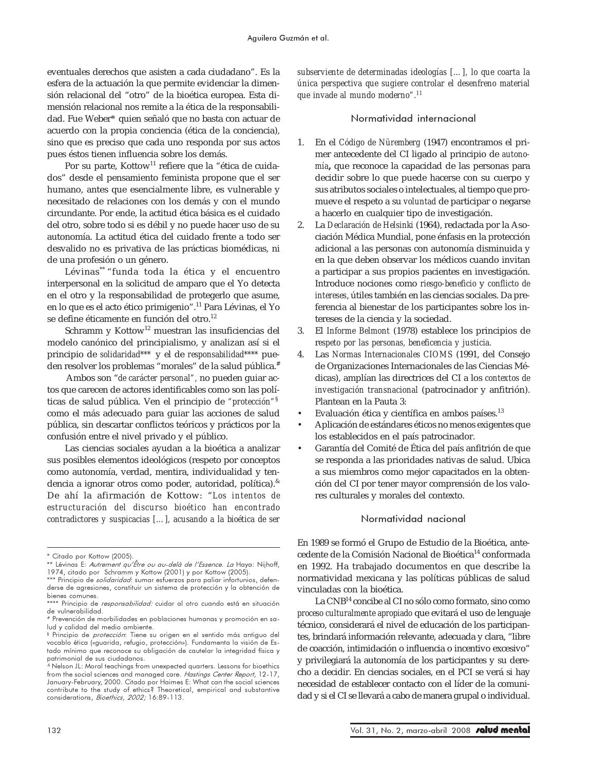eventuales derechos que asisten a cada ciudadano". Es la esfera de la actuación la que permite evidenciar la dimensión relacional del "otro" de la bioética europea. Esta dimensión relacional nos remite a la ética de la responsabilidad. Fue Weber\* quien señaló que no basta con actuar de acuerdo con la propia conciencia (ética de la conciencia), sino que es preciso que cada uno responda por sus actos pues éstos tienen influencia sobre los demás.

Por su parte, Kottow<sup>11</sup> refiere que la "ética de cuidados" desde el pensamiento feminista propone que el ser humano, antes que esencialmente libre, es vulnerable y necesitado de relaciones con los demás y con el mundo circundante. Por ende, la actitud ética básica es el cuidado del otro, sobre todo si es débil y no puede hacer uso de su autonomía. La actitud ética del cuidado frente a todo ser desvalido no es privativa de las prácticas biomédicas, ni de una profesión o un género.

Lévinas\*\* "funda toda la ética y el encuentro interpersonal en la solicitud de amparo que el Yo detecta en el otro y la responsabilidad de protegerlo que asume, en lo que es el acto ético primigenio".11 Para Lévinas, el Yo se define éticamente en función del otro.<sup>12</sup>

Schramm y Kottow<sup>12</sup> muestran las insuficiencias del modelo canónico del principialismo, y analizan así si el principio de *solidaridad\*\*\** y el de *responsabilidad\*\*\*\** pueden resolver los problemas "morales" de la salud pública.<sup>#</sup>

Ambos son "*de carácter personal",* no pueden guiar actos que carecen de actores identificables como son las políticas de salud pública. Ven el principio de *"protección"*§ como el más adecuado para guiar las acciones de salud pública, sin descartar conflictos teóricos y prácticos por la confusión entre el nivel privado y el público.

Las ciencias sociales ayudan a la bioética a analizar sus posibles elementos ideológicos (respeto por conceptos como autonomía, verdad, mentira, individualidad y tendencia a ignorar otros como poder, autoridad, política).& De ahí la afirmación de Kottow: "*Los intentos de estructuración del discurso bioético han encontrado contradictores y suspicacias […], acusando a la bioética de ser* *subserviente de determinadas ideologías […], lo que coarta la única perspectiva que sugiere controlar el desenfreno material que invade al mundo moderno".<sup>11</sup>*

### Normatividad internacional

- 1. En el *Código de Nüremberg* (1947) encontramos el primer antecedente del CI ligado al principio de *autonomía***,** que reconoce la capacidad de las personas para decidir sobre lo que puede hacerse con su cuerpo y sus atributos sociales o intelectuales, al tiempo que promueve el respeto a su *voluntad* de participar o negarse a hacerlo en cualquier tipo de investigación.
- 2. La *Declaración de Helsinki* (1964), redactada por la Asociación Médica Mundial, pone énfasis en la protección adicional a las personas con autonomía disminuida y en la que deben observar los médicos cuando invitan a participar a sus propios pacientes en investigación. Introduce nociones como *riesgo-beneficio* y *conflicto de intereses*, útiles también en las ciencias sociales. Da preferencia al bienestar de los participantes sobre los intereses de la ciencia y la sociedad.
- 3. El *Informe Belmont* (1978) establece los principios de r*espeto por las personas, beneficencia y justicia.*
- 4. Las *Normas Internacionales CIOMS* (1991, del Consejo de Organizaciones Internacionales de las Ciencias Médicas), amplían las directrices del CI a los *contextos de investigación transnacional* (patrocinador y anfitrión). Plantean en la Pauta 3:
- Evaluación ética y científica en ambos países.<sup>13</sup>
- Aplicación de estándares éticos no menos exigentes que los establecidos en el país patrocinador.
- Garantía del Comité de Ética del país anfitrión de que se responda a las prioridades nativas de salud. Ubica a sus miembros como mejor capacitados en la obtención del CI por tener mayor comprensión de los valores culturales y morales del contexto.

#### Normatividad nacional

En 1989 se formó el Grupo de Estudio de la Bioética, antecedente de la Comisión Nacional de Bioética<sup>14</sup> conformada en 1992. Ha trabajado documentos en que describe la normatividad mexicana y las políticas públicas de salud vinculadas con la bioética.

La CNB14 concibe al CI no sólo como formato, sino como *proceso culturalmente apropiado* que evitará el uso de lenguaje técnico, considerará el nivel de educación de los participantes, brindará información relevante, adecuada y clara, "libre de coacción, intimidación o influencia o incentivo excesivo" y privilegiará la autonomía de los participantes y su derecho a decidir. En ciencias sociales, en el PCI se verá si hay necesidad de establecer contacto con el líder de la comunidad y si el CI se llevará a cabo de manera grupal o individual.

<sup>\*</sup> Citado por Kottow (2005).

<sup>\*\*</sup> Lévinas E: Autrement qu'Être ou au-delà de l'Essence. La Haya: Nijhoff, 1974, citado por Schramm y Kottow (2001) y por Kottow (2005).

<sup>\*\*\*</sup> Principio de *solidaridad*: sumar esfuerzos para paliar infortunios, defenderse de agresiones, constituir un sistema de protección y la obtención de bienes comunes.

<sup>\*\*\*\*</sup> Principio de *responsabilidad:* cuidar al otro cuando está en situación de vulnerabilidad.

<sup>#</sup> Prevención de morbilidades en poblaciones humanas y promoción en salud y calidad del medio ambiente.

<sup>§</sup> Principio de protección: Tiene su origen en el sentido más antiguo del vocablo ética («guarida, refugio, protección»). Fundamenta la visión de Estado mínimo que reconoce su obligación de cautelar la integridad física y

patrimonial de sus ciudadanos. & Nelson JL: Moral teachings from unexpected quarters. Lessons for bioethics from the social sciences and managed care. Hastings Center Report, 12-17, January-February, 2000. Citado por Haimes E: What can the social sciences contribute to the study of ethics? Theoretical, empirical and substantive considerations, Bioethics, 2002; 16:89-113.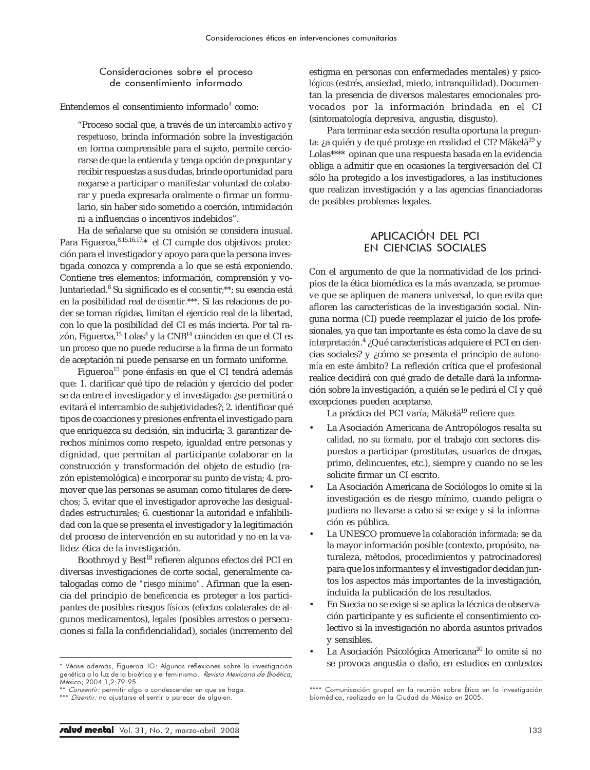## Consideraciones sobre el proceso de consentimiento informado

Entendemos el consentimiento informado<sup>4</sup> como:

"Proceso social que, a través de un *intercambio activo y respetuoso*, brinda información sobre la investigación en forma comprensible para el sujeto, permite cerciorarse de que la entienda y tenga opción de preguntar y recibir respuestas a sus dudas, brinde oportunidad para negarse a participar o manifestar voluntad de colaborar y pueda expresarla oralmente o firmar un formulario, sin haber sido sometido a coerción, intimidación ni a influencias o incentivos indebidos".

Ha de señalarse que su omisión se considera inusual. Para Figueroa, 8,15,16,17,\* el CI cumple dos objetivos: protección para el investigador y apoyo para que la persona investigada conozca y comprenda a lo que se está exponiendo. Contiene tres elementos: información, comprensión y voluntariedad.8 Su significado es el *consentir;\*\**; su esencia está en la posibilidad real de *disentir.\*\*\*.* Si las relaciones de poder se tornan rígidas, limitan el ejercicio real de la libertad, con lo que la posibilidad del CI es más incierta. Por tal razón, Figueroa, $^{15}$  Lolas $^{4}$  y la CNB $^{14}$  coinciden en que el CI es un *proceso* que no puede reducirse a la firma de un formato de aceptación ni puede pensarse en un formato uniforme.

Figueroa<sup>15</sup> pone énfasis en que el CI tendrá además que: 1. clarificar qué tipo de relación y ejercicio del poder se da entre el investigador y el investigado: ¿se permitirá o evitará el intercambio de subjetividades?; 2. identificar qué tipos de coacciones y presiones enfrenta el investigado para que enriquezca su decisión, sin inducirla; 3. garantizar derechos mínimos como respeto, igualdad entre personas y dignidad, que permitan al participante colaborar en la construcción y transformación del objeto de estudio (razón epistemológica) e incorporar su punto de vista; 4. promover que las personas se asuman como titulares de derechos; 5. evitar que el investigador aproveche las desigualdades estructurales; 6. cuestionar la autoridad e infalibilidad con la que se presenta el investigador y la legitimación del proceso de intervención en su autoridad y no en la validez ética de la investigación.

Boothroyd y Best<sup>18</sup> refieren algunos efectos del PCI en diversas investigaciones de corte social, generalmente catalogadas como de *"riesgo mínimo"*. Afirman que la esencia del principio de *beneficencia* es proteger a los participantes de posibles riesgos *físicos* (efectos colaterales de algunos medicamentos), *legales* (posibles arrestos o persecuciones si falla la confidencialidad), *sociales* (incremento del estigma en personas con enfermedades mentales) y *psicológicos* (estrés, ansiedad, miedo, intranquilidad). Documentan la presencia de diversos malestares emocionales provocados por la información brindada en el CI (sintomatología depresiva, angustia, disgusto).

Para terminar esta sección resulta oportuna la pregunta: ¿a quién y de qué protege en realidad el CI? Mäkelä<sup>19</sup> y Lolas\*\*\*\* opinan que una respuesta basada en la evidencia obliga a admitir que en ocasiones la tergiversación del CI sólo ha protegido a los investigadores, a las instituciones que realizan investigación y a las agencias financiadoras de posibles problemas legales.

# APLICACIÓN DEL PCI EN CIENCIAS SOCIALES

Con el argumento de que la normatividad de los principios de la ética biomédica es la más avanzada, se promueve que se apliquen de manera universal, lo que evita que afloren las características de la investigación social. Ninguna norma (CI) puede reemplazar el juicio de los profesionales, ya que tan importante es ésta como la clave de su *interpretación.*<sup>4</sup> ¿Qué características adquiere el PCI en ciencias sociales? y ¿cómo se presenta el principio de *autonomía* en este ámbito? La reflexión crítica que el profesional realice decidirá con qué grado de detalle dará la información sobre la investigación, a quién se le pedirá el CI y qué excepciones pueden aceptarse.

La práctica del PCI varía; Mäkelä<sup>19</sup> refiere que:

- La Asociación Americana de Antropólogos resalta su *calidad,* no su *formato,* por el trabajo con sectores dispuestos a participar (prostitutas, usuarios de drogas, primo, delincuentes, etc.), siempre y cuando no se les solicite firmar un CI escrito.
- La Asociación Americana de Sociólogos lo omite si la investigación es de riesgo mínimo, cuando peligra o pudiera no llevarse a cabo si se exige y si la información es pública.
- La UNESCO promueve la *colaboración informada:* se da la mayor información posible (contexto, propósito, naturaleza, métodos, procedimientos y patrocinadores) para que los informantes y el investigador decidan juntos los aspectos más importantes de la investigación, incluida la publicación de los resultados.
- En Suecia no se exige si se aplica la técnica de observación participante y es suficiente el consentimiento colectivo si la investigación no aborda asuntos privados y sensibles.
- La Asociación Psicológica Americana<sup>20</sup> lo omite si no \* Véase además, Figueroa JG: Algunas reflexiones sobre la investigación se provoca angustia o daño, en estudios en contextos

genética a la luz de la bioética y el feminismo. Revista Mexicana de Bioética, México; 2004.1,2:79-95.

<sup>\*</sup> *Consentir:* permitir algo o condescender en que se haga.

<sup>\*\*\*</sup> Disentir: no ajustarse al sentir o parecer de alguien.

<sup>\*\*\*\*</sup> Comunicación grupal en la reunión sobre Ética en la investigación biomédica, realizado en la Ciudad de México en 2005.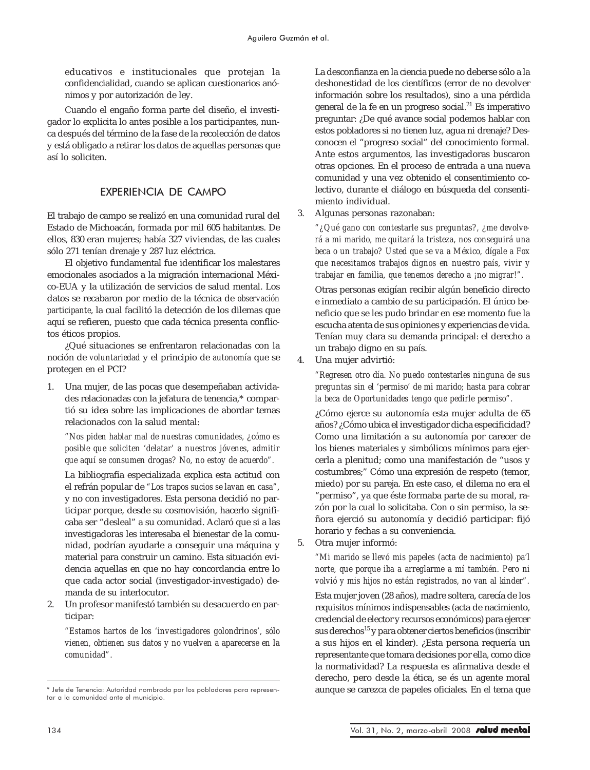educativos e institucionales que protejan la confidencialidad, cuando se aplican cuestionarios anónimos y por autorización de ley.

Cuando el engaño forma parte del diseño, el investigador lo explicita lo antes posible a los participantes, nunca después del término de la fase de la recolección de datos y está obligado a retirar los datos de aquellas personas que así lo soliciten.

## EXPERIENCIA DE CAMPO

El trabajo de campo se realizó en una comunidad rural del Estado de Michoacán, formada por mil 605 habitantes. De ellos, 830 eran mujeres; había 327 viviendas, de las cuales sólo 271 tenían drenaje y 287 luz eléctrica.

El objetivo fundamental fue identificar los malestares emocionales asociados a la migración internacional México-EUA y la utilización de servicios de salud mental. Los datos se recabaron por medio de la técnica de *observación participante*, la cual facilitó la detección de los dilemas que aquí se refieren, puesto que cada técnica presenta conflictos éticos propios.

¿Qué situaciones se enfrentaron relacionadas con la noción de *voluntariedad* y el principio de *autonomía* que se protegen en el PCI?

1. Una mujer, de las pocas que desempeñaban actividades relacionadas con la jefatura de tenencia,\* compartió su idea sobre las implicaciones de abordar temas relacionados con la salud mental:

*"Nos piden hablar mal de nuestras comunidades, ¿cómo es posible que soliciten 'delatar' a nuestros jóvenes, admitir que aquí se consumen drogas? No, no estoy de acuerdo".*

La bibliografía especializada explica esta actitud con el refrán popular de *"Los trapos sucios se lavan en casa",* y no con investigadores. Esta persona decidió no participar porque, desde su cosmovisión, hacerlo significaba ser "desleal" a su comunidad. Aclaró que si a las investigadoras les interesaba el bienestar de la comunidad, podrían ayudarle a conseguir una máquina y material para construir un camino. Esta situación evidencia aquellas en que no hay concordancia entre lo que cada actor social (investigador-investigado) demanda de su interlocutor.

2. Un profesor manifestó también su desacuerdo en participar:

*"Estamos hartos de los 'investigadores golondrinos', sólo vienen, obtienen sus datos y no vuelven a aparecerse en la comunidad".*

La desconfianza en la ciencia puede no deberse sólo a la deshonestidad de los científicos (error de no devolver información sobre los resultados), sino a una pérdida general de la fe en un progreso social. $^{21}$  Es imperativo preguntar: ¿De qué avance social podemos hablar con estos pobladores si no tienen luz, agua ni drenaje? Desconocen el "progreso social" del conocimiento formal. Ante estos argumentos, las investigadoras buscaron otras opciones. En el proceso de entrada a una nueva comunidad y una vez obtenido el consentimiento colectivo, durante el diálogo en búsqueda del consentimiento individual.

3. Algunas personas razonaban:

*"¿Qué gano con contestarle sus preguntas?, ¿me devolverá a mi marido, me quitará la tristeza, nos conseguirá una beca o un trabajo? Usted que se va a México, dígale a Fox que necesitamos trabajos dignos en nuestro país, vivir y trabajar en familia, que tenemos derecho a ¡no migrar!".*

Otras personas exigían recibir algún beneficio directo e inmediato a cambio de su participación. El único beneficio que se les pudo brindar en ese momento fue la escucha atenta de sus opiniones y experiencias de vida. Tenían muy clara su demanda principal: el derecho a un trabajo digno en su país.

4. Una mujer advirtió:

*"Regresen otro día. No puedo contestarles ninguna de sus preguntas sin el 'permiso' de mi marido; hasta para cobrar la beca de Oportunidades tengo que pedirle permiso".*

¿Cómo ejerce su autonomía esta mujer adulta de 65 años? ¿Cómo ubica el investigador dicha especificidad? Como una limitación a su autonomía por carecer de los bienes materiales y simbólicos mínimos para ejercerla a plenitud; como una manifestación de "usos y costumbres;" Cómo una expresión de respeto (temor, miedo) por su pareja. En este caso, el dilema no era el "permiso", ya que éste formaba parte de su moral, razón por la cual lo solicitaba. Con o sin permiso, la señora ejerció su autonomía y decidió participar: fijó horario y fechas a su conveniencia.

5. Otra mujer informó:

*"Mi marido se llevó mis papeles (acta de nacimiento) pa'l norte, que porque iba a arreglarme a mí también. Pero ni volvió y mis hijos no están registrados, no van al kinder".* Esta mujer joven (28 años), madre soltera, carecía de los requisitos mínimos indispensables (acta de nacimiento, credencial de elector y recursos económicos) para ejercer sus derechos<sup>15</sup> y para obtener ciertos beneficios (inscribir a sus hijos en el kinder). ¿Esta persona requería un representante que tomara decisiones por ella, como dice la normatividad? La respuesta es afirmativa desde el derecho, pero desde la ética, se és un agente moral

<sup>\*</sup> Jefe de Tenencia: Autoridad nombrada por los pobladores para represen- aunque se carezca de papeles oficiales*.* En el tema que tar a la comunidad ante el municipio.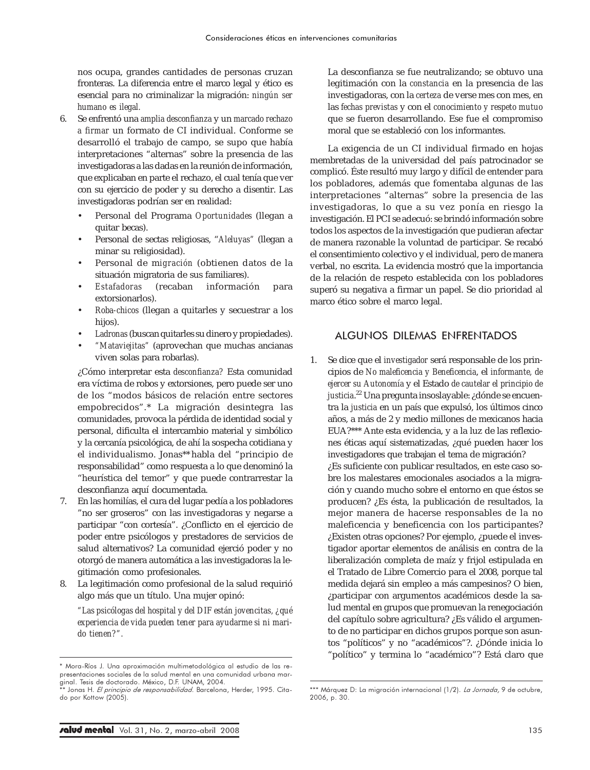nos ocupa, grandes cantidades de personas cruzan fronteras. La diferencia entre el marco legal y ético es esencial para no criminalizar la migración: *ningún ser humano es ilegal.*

- 6. Se enfrentó una *amplia desconfianza* y un *marcado rechazo a firmar* un formato de CI individual. Conforme se desarrolló el trabajo de campo, se supo que había interpretaciones "alternas" sobre la presencia de las investigadoras a las dadas en la reunión de información, que explicaban en parte el rechazo, el cual tenía que ver con su ejercicio de poder y su derecho a disentir. Las investigadoras podrían ser en realidad:
	- Personal del Programa *Oportunidades* (llegan a quitar becas).
	- Personal de sectas religiosas, "*Aleluyas"* (llegan a minar su religiosidad).
	- Personal de m*igración* (obtienen datos de la situación migratoria de sus familiares).
	- *Estafadoras* (recaban información para extorsionarlos).
	- *Roba-chicos* (llegan a quitarles y secuestrar a los hijos).
	- *Ladronas* (buscan quitarles su dinero y propiedades).
	- *"Mataviejitas"* (aprovechan que muchas ancianas viven solas para robarlas).

¿Cómo interpretar esta *desconfianza?* Esta comunidad era víctima de robos y extorsiones, pero puede ser uno de los "modos básicos de relación entre sectores empobrecidos".\* La migración desintegra las comunidades, provoca la pérdida de identidad social y personal, dificulta el intercambio material y simbólico y la cercanía psicológica, de ahí la sospecha cotidiana y el individualismo. Jonas\*\* habla del "principio de responsabilidad" como respuesta a lo que denominó la "heurística del temor" y que puede contrarrestar la desconfianza aquí documentada.

- 7. En las homilías, el cura del lugar pedía a los pobladores "no ser groseros" con las investigadoras y negarse a participar "con cortesía". ¿Conflicto en el ejercicio de poder entre psicólogos y prestadores de servicios de salud alternativos? La comunidad ejerció poder y no otorgó de manera automática a las investigadoras la legitimación como profesionales.
- 8. La legitimación como profesional de la salud requirió algo más que un título. Una mujer opinó:

*"Las psicólogas del hospital y del DIF están jovencitas, ¿qué experiencia de vida pueden tener para ayudarme si ni marido tienen?".*

La desconfianza se fue neutralizando; se obtuvo una legitimación con la *constancia* en la presencia de las investigadoras, con la *certeza* de verse mes con mes, en las *fechas previstas* y con el *conocimiento y respeto mutuo* que se fueron desarrollando. Ese fue el compromiso moral que se estableció con los informantes.

La exigencia de un CI individual firmado en hojas membretadas de la universidad del país patrocinador se complicó. Éste resultó muy largo y difícil de entender para los pobladores, además que fomentaba algunas de las interpretaciones "alternas" sobre la presencia de las investigadoras, lo que a su vez ponía en riesgo la investigación. El PCI se adecuó: se brindó información sobre todos los aspectos de la investigación que pudieran afectar de manera razonable la voluntad de participar. Se recabó el consentimiento colectivo y el individual, pero de manera verbal, no escrita. La evidencia mostró que la importancia de la relación de respeto establecida con los pobladores superó su negativa a firmar un papel. Se dio prioridad al marco ético sobre el marco legal.

## ALGUNOS DILEMAS ENFRENTADOS

1. Se dice que el *investigador* será responsable de los principios de *No maleficencia y Beneficencia*, el *informante, de ejercer su Autonomía* y el Estado *de cautelar el principio de justicia*. 22 Una pregunta insoslayable: ¿dónde se encuentra la *justicia* en un país que expulsó, los últimos cinco años, a más de 2 y medio millones de mexicanos hacia EUA?\*\*\* Ante esta evidencia, y a la luz de las reflexiones éticas aquí sistematizadas, ¿qué pueden hacer los investigadores que trabajan el tema de migración? ¿Es suficiente con publicar resultados, en este caso sobre los malestares emocionales asociados a la migración y cuando mucho sobre el entorno en que éstos se producen? ¿Es ésta, la publicación de resultados, la mejor manera de hacerse responsables de la no maleficencia y beneficencia con los participantes? ¿Existen otras opciones? Por ejemplo, ¿puede el investigador aportar elementos de análisis en contra de la liberalización completa de maíz y frijol estipulada en el Tratado de Libre Comercio para el 2008, porque tal medida dejará sin empleo a más campesinos? O bien, ¿participar con argumentos académicos desde la salud mental en grupos que promuevan la renegociación del capítulo sobre agricultura? ¿Es válido el argumento de no participar en dichos grupos porque son asuntos "políticos" y no "académicos"?. ¿Dónde inicia lo "político" y termina lo "académico"? Está claro que

<sup>\*</sup> Mora-Ríos J. Una aproximación multimetodológica al estudio de las representaciones sociales de la salud mental en una comunidad urbana marginal. Tesis de doctorado. México, D.F. UNAM, 2004.

Jonas H. *El principio de responsabilidad.* Barcelona, Herder, 1995. Citado por Kottow (2005).

<sup>\*\*\*</sup> Márquez D: La migración internacional (1/2). *La Jornada,* 9 de octubre, 2006, p. 30.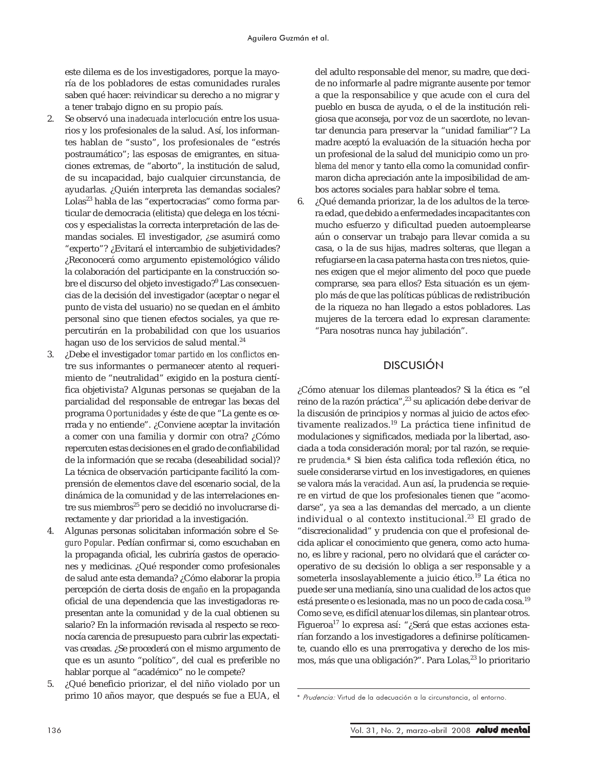este dilema es de los investigadores, porque la mayoría de los pobladores de estas comunidades rurales saben qué hacer: reivindicar su derecho a no migrar y a tener trabajo digno en su propio país.

- 2. Se observó una *inadecuada interlocución* entre los usuarios y los profesionales de la salud. Así, los informantes hablan de "susto", los profesionales de "estrés postraumático"; las esposas de emigrantes, en situaciones extremas, de "aborto", la institución de salud, de su incapacidad, bajo cualquier circunstancia, de ayudarlas. ¿Quién interpreta las demandas sociales? Lolas<sup>23</sup> habla de las "expertocracias" como forma particular de democracia (elitista) que delega en los técnicos y especialistas la correcta interpretación de las demandas sociales. El investigador, ¿se asumirá como "experto"? ¿Evitará el intercambio de subjetividades? ¿Reconocerá como argumento epistemológico válido la colaboración del participante en la construcción sobre el discurso del objeto investigado?<sup>9</sup> Las consecuencias de la decisión del investigador (aceptar o negar el punto de vista del usuario) no se quedan en el ámbito personal sino que tienen efectos sociales, ya que repercutirán en la probabilidad con que los usuarios hagan uso de los servicios de salud mental.<sup>24</sup>
- 3. ¿Debe el investigador *tomar partido en los conflictos* entre sus informantes o permanecer atento al requerimiento de "neutralidad" exigido en la postura científica objetivista? Algunas personas se quejaban de la parcialidad del responsable de entregar las becas del programa *Oportunidades* y éste de que "La gente es cerrada y no entiende". ¿Conviene aceptar la invitación a comer con una familia y dormir con otra? ¿Cómo repercuten estas decisiones en el grado de confiabilidad de la información que se recaba (deseabilidad social)? La técnica de observación participante facilitó la comprensión de elementos clave del escenario social, de la dinámica de la comunidad y de las interrelaciones entre sus miembros<sup>25</sup> pero se decidió no involucrarse directamente y dar prioridad a la investigación.
- 4. Algunas personas solicitaban información sobre el *Seguro Popular*. Pedían confirmar si, como escuchaban en la propaganda oficial, les cubriría gastos de operaciones y medicinas. ¿Qué responder como profesionales de salud ante esta demanda? ¿Cómo elaborar la propia percepción de cierta dosis de *engaño* en la propaganda oficial de una dependencia que las investigadoras representan ante la comunidad y de la cual obtienen su salario? En la información revisada al respecto se reconocía carencia de presupuesto para cubrir las expectativas creadas. ¿Se procederá con el mismo argumento de que es un asunto "político", del cual es preferible no hablar porque al "académico" no le compete?
- 5. ¿Qué beneficio priorizar, el del niño violado por un primo 10 años mayor, que después se fue a EUA, el

del adulto responsable del menor, su madre, que decide no informarle al padre migrante ausente por temor a que la responsabilice y que acude con el cura del pueblo en busca de ayuda, o el de la institución religiosa que aconseja, por voz de un sacerdote, no levantar denuncia para preservar la "unidad familiar"? La madre aceptó la evaluación de la situación hecha por un profesional de la salud del municipio como un *problema del menor* y tanto ella como la comunidad confirmaron dicha apreciación ante la imposibilidad de ambos actores sociales para hablar sobre el tema.

6. ¿Qué demanda priorizar, la de los adultos de la tercera edad, que debido a enfermedades incapacitantes con mucho esfuerzo y dificultad pueden autoemplearse aún o conservar un trabajo para llevar comida a su casa, o la de sus hijas, madres solteras, que llegan a refugiarse en la casa paterna hasta con tres nietos, quienes exigen que el mejor alimento del poco que puede comprarse, sea para ellos? Esta situación es un ejemplo más de que las políticas públicas de redistribución de la riqueza no han llegado a estos pobladores. Las mujeres de la tercera edad lo expresan claramente: "Para nosotras nunca hay jubilación".

# DISCUSIÓN

¿Cómo atenuar los dilemas planteados? Si la ética es "el reino de la razón práctica",<sup>23</sup> su aplicación debe derivar de la discusión de principios y normas al juicio de actos efectivamente realizados.<sup>19</sup> La práctica tiene infinitud de modulaciones y significados, mediada por la libertad, asociada a toda consideración moral; por tal razón, se requiere *prudencia.\** Si bien ésta califica toda reflexión ética, no suele considerarse virtud en los investigadores, en quienes se valora más la *veracidad*. Aun así, la prudencia se requiere en virtud de que los profesionales tienen que "acomodarse", ya sea a las demandas del mercado, a un cliente individual o al contexto institucional.<sup>23</sup> El grado de "discrecionalidad" y prudencia con que el profesional decida aplicar el conocimiento que genera, como acto humano, es libre y racional, pero no olvidará que el carácter cooperativo de su decisión lo obliga a ser responsable y a someterla insoslayablemente a juicio ético.<sup>19</sup> La ética no puede ser una medianía, sino una cualidad de los actos que está presente o es lesionada, mas no un poco de cada cosa.<sup>19</sup> Como se ve, es difícil atenuar los dilemas, sin plantear otros. Figueroa17 lo expresa así: "¿Será que estas acciones estarían forzando a los investigadores a definirse políticamente, cuando ello es una prerrogativa y derecho de los mismos, más que una obligación?". Para Lolas,<sup>23</sup> lo prioritario

<sup>\*</sup> Prudencia: Virtud de la adecuación a la circunstancia, al entorno.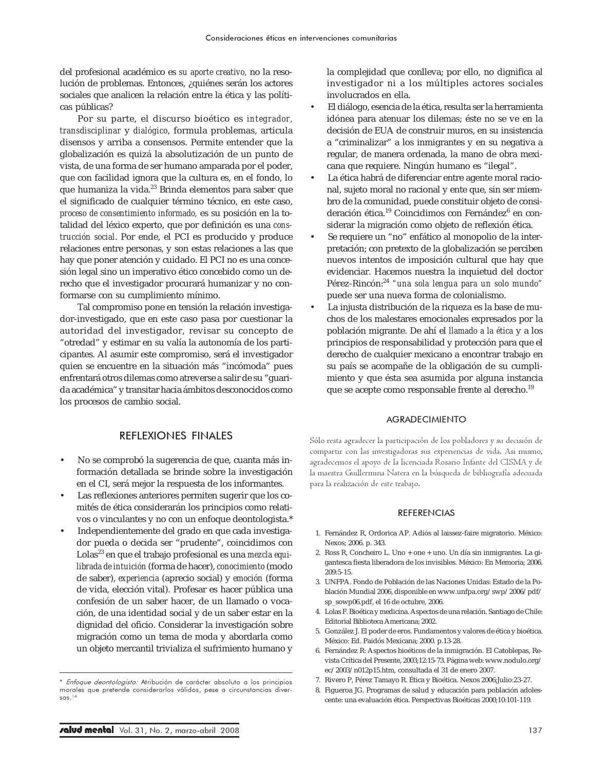del profesional académico es *su aporte creativo,* no la resolución de problemas. Entonces, ¿quiénes serán los actores sociales que analicen la relación entre la ética y las políticas públicas?

Por su parte, el discurso bioético es *integrador, transdisciplinar* y *dialógico*, formula problemas, articula disensos y arriba a consensos. Permite entender que la globalización es quizá la absolutización de un punto de vista, de una forma de ser humano amparada por el poder, que con facilidad ignora que la cultura es, en el fondo, lo que humaniza la vida.<sup>23</sup> Brinda elementos para saber que el significado de cualquier término técnico, en este caso, *proceso de consentimiento informado,* es su posición en la totalidad del léxico experto, que por definición es una *construcción social*. Por ende, el PCI es producido y produce relaciones entre personas, y son estas relaciones a las que hay que poner atención y cuidado. El PCI no es una concesión legal sino un imperativo ético concebido como un derecho que el investigador procurará humanizar y no conformarse con su cumplimiento mínimo.

Tal compromiso pone en tensión la relación investigador-investigado, que en este caso pasa por cuestionar la autoridad del investigador, revisar su concepto de "otredad" y estimar en su valía la autonomía de los participantes. Al asumir este compromiso, será el investigador quien se encuentre en la situación más "incómoda" pues enfrentará otros dilemas como atreverse a salir de su "guarida académica" y transitar hacia ámbitos desconocidos como los procesos de cambio social.

## REFLEXIONES FINALES

- No se comprobó la sugerencia de que, cuanta más información detallada se brinde sobre la investigación en el CI, será mejor la respuesta de los informantes.
- Las reflexiones anteriores permiten sugerir que los comités de ética considerarán los principios como relativos o vinculantes y no con un enfoque deontologista.\*
- Independientemente del grado en que cada investigador pueda o decida ser "prudente", coincidimos con Lolas<sup>23</sup> en que el trabajo profesional es una *mezcla equilibrada de intuición* (forma de hacer), *conocimiento* (modo de saber), *experiencia* (aprecio social) y *emoción* (forma de vida, elección vital). Profesar es hacer pública una confesión de un saber hacer, de un llamado o vocación, de una identidad social y de un saber estar en la dignidad del oficio. Considerar la investigación sobre migración como un tema de moda y abordarla como un objeto mercantil trivializa el sufrimiento humano y

la complejidad que conlleva; por ello, no dignifica al investigador ni a los múltiples actores sociales involucrados en ella.

- El diálogo, esencia de la ética, resulta ser la herramienta idónea para atenuar los dilemas; éste no se ve en la decisión de EUA de construir muros, en su insistencia a "criminalizar" a los inmigrantes y en su negativa a regular, de manera ordenada, la mano de obra mexicana que requiere. Ningún humano es "ilegal".
- La ética habrá de diferenciar entre agente moral racional, sujeto moral no racional y ente que, sin ser miembro de la comunidad, puede constituir objeto de consideración ética.<sup>19</sup> Coincidimos con Fernández<sup>6</sup> en considerar la migración como objeto de reflexión ética.
- Se requiere un "no" enfático al monopolio de la interpretación; con pretexto de la globalización se perciben nuevos intentos de imposición cultural que hay que evidenciar. Hacemos nuestra la inquietud del doctor Pérez-Rincón:<sup>24</sup> *"una sola lengua para un solo mundo"* puede ser una nueva forma de colonialismo.
- La injusta distribución de la riqueza es la base de muchos de los malestares emocionales expresados por la población migrante. De ahí el *llamado a la ética* y a los principios de responsabilidad y protección para que el derecho de cualquier mexicano a encontrar trabajo en su país se acompañe de la obligación de su cumplimiento y que ésta sea asumida por alguna instancia que se acepte como responsable frente al derecho.19

#### AGRADECIMIENTO

Sólo resta agradecer la participación de los pobladores y su decisión de compartir con las investigadoras sus experiencias de vida. Asi mismo, agradecemos el apoyo de la licenciada Rosario Infante del CISMA y de la maestra Guillermina Natera en la búsqueda de bibliografía adecuada para la realización de este trabajo.

#### REFERENCIAS

- 1. Fernández R, Ordorica AP. Adiós al laissez-faire migratorio. México: Nexos; 2006. p. 343.
- 2. Ross R, Concheiro L. Uno + one + uno. Un día sin inmigrantes. La gigantesca fiesta liberadora de los invisibles. México: En Memoria; 2006. 209:5-15.
- 3. UNFPA. Fondo de Población de las Naciones Unidas: Estado de la Población Mundial 2006, disponible en www.unfpa.org/swp/2006/pdf/ sp\_sowp06.pdf, el 16 de octubre, 2006.
- 4. Lolas F. Bioética y medicina. Aspectos de una relación. Santiago de Chile: Editorial Biblioteca Americana; 2002.
- 5. González J. El poder de eros. Fundamentos y valores de ética y bioética. México: Ed. Paidós Mexicana; 2000. p.13-28.
- 6. Fernández R: Aspectos bioéticos de la inmigración. El Catoblepas, Revista Crítica del Presente, 2003;12:15-73. Página web: www.nodulo.org/ ec/2003/n012p15.htm, consultada el 31 de enero 2007.
- 7. Rivero P, Pérez Tamayo R. Ética y Bioética. Nexos 2006;Julio:23-27.
- 8. Figueroa JG. Programas de salud y educación para población adolescente: una evaluación ética. Perspectivas Bioéticas 2000;10:101-119.

<sup>\*</sup> Enfoque deontologista: Atribución de carácter absoluto a los principios morales que pretende considerarlos válidos, pese a circunstancias diversas.14